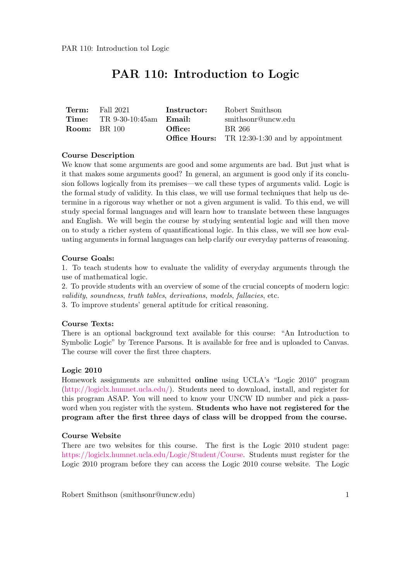# PAR 110: Introduction to Logic

| Term: | Fall 2021                                    | <b>Instructor:</b> | Robert Smithson                                       |
|-------|----------------------------------------------|--------------------|-------------------------------------------------------|
|       | <b>Time:</b> TR $9-30-10:45am$ <b>Email:</b> |                    | smithsonr@uncw.edu                                    |
|       | <b>Room:</b> BR 100                          | Office:            | BR 266                                                |
|       |                                              |                    | <b>Office Hours:</b> TR 12:30-1:30 and by appointment |

## Course Description

We know that some arguments are good and some arguments are bad. But just what is it that makes some arguments good? In general, an argument is good only if its conclusion follows logically from its premises—we call these types of arguments valid. Logic is the formal study of validity. In this class, we will use formal techniques that help us determine in a rigorous way whether or not a given argument is valid. To this end, we will study special formal languages and will learn how to translate between these languages and English. We will begin the course by studying sentential logic and will then move on to study a richer system of quantificational logic. In this class, we will see how evaluating arguments in formal languages can help clarify our everyday patterns of reasoning.

#### Course Goals:

1. To teach students how to evaluate the validity of everyday arguments through the use of mathematical logic.

2. To provide students with an overview of some of the crucial concepts of modern logic: validity, soundness, truth tables, derivations, models, fallacies, etc.

3. To improve students' general aptitude for critical reasoning.

#### Course Texts:

There is an optional background text available for this course: "An Introduction to Symbolic Logic" by Terence Parsons. It is available for free and is uploaded to Canvas. The course will cover the first three chapters.

#### Logic 2010

Homework assignments are submitted online using UCLA's "Logic 2010" program [\(http://logiclx.humnet.ucla.edu/\)](http://logiclx.humnet.ucla.edu/). Students need to download, install, and register for this program ASAP. You will need to know your UNCW ID number and pick a password when you register with the system. **Students who have not registered for the** program after the first three days of class will be dropped from the course.

#### Course Website

There are two websites for this course. The first is the Logic 2010 student page: [https://logiclx.humnet.ucla.edu/Logic/Student/Course.](https://logiclx.humnet.ucla.edu/Logic/Student/Course) Students must register for the Logic 2010 program before they can access the Logic 2010 course website. The Logic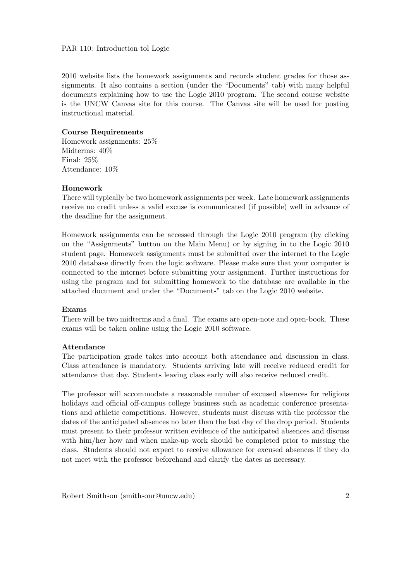#### PAR 110: Introduction tol Logic

2010 website lists the homework assignments and records student grades for those assignments. It also contains a section (under the "Documents" tab) with many helpful documents explaining how to use the Logic 2010 program. The second course website is the UNCW Canvas site for this course. The Canvas site will be used for posting instructional material.

## Course Requirements

Homework assignments: 25% Midterms: 40% Final: 25% Attendance: 10%

#### Homework

There will typically be two homework assignments per week. Late homework assignments receive no credit unless a valid excuse is communicated (if possible) well in advance of the deadline for the assignment.

Homework assignments can be accessed through the Logic 2010 program (by clicking on the "Assignments" button on the Main Menu) or by signing in to the Logic 2010 student page. Homework assignments must be submitted over the internet to the Logic 2010 database directly from the logic software. Please make sure that your computer is connected to the internet before submitting your assignment. Further instructions for using the program and for submitting homework to the database are available in the attached document and under the "Documents" tab on the Logic 2010 website.

#### Exams

There will be two midterms and a final. The exams are open-note and open-book. These exams will be taken online using the Logic 2010 software.

#### Attendance

The participation grade takes into account both attendance and discussion in class. Class attendance is mandatory. Students arriving late will receive reduced credit for attendance that day. Students leaving class early will also receive reduced credit.

The professor will accommodate a reasonable number of excused absences for religious holidays and official off-campus college business such as academic conference presentations and athletic competitions. However, students must discuss with the professor the dates of the anticipated absences no later than the last day of the drop period. Students must present to their professor written evidence of the anticipated absences and discuss with him/her how and when make-up work should be completed prior to missing the class. Students should not expect to receive allowance for excused absences if they do not meet with the professor beforehand and clarify the dates as necessary.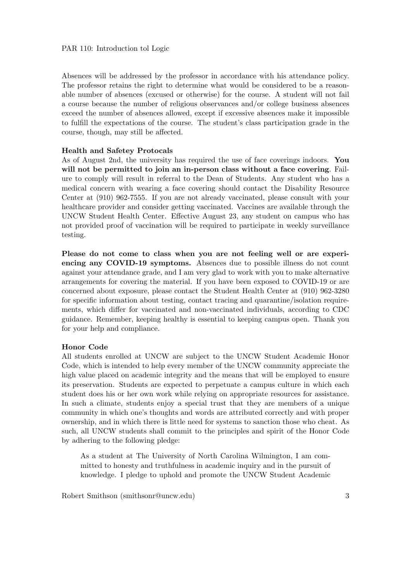Absences will be addressed by the professor in accordance with his attendance policy. The professor retains the right to determine what would be considered to be a reasonable number of absences (excused or otherwise) for the course. A student will not fail a course because the number of religious observances and/or college business absences exceed the number of absences allowed, except if excessive absences make it impossible to fulfill the expectations of the course. The student's class participation grade in the course, though, may still be affected.

#### Health and Safetey Protocals

As of August 2nd, the university has required the use of face coverings indoors. You will not be permitted to join an in-person class without a face covering. Failure to comply will result in referral to the Dean of Students. Any student who has a medical concern with wearing a face covering should contact the Disability Resource Center at (910) 962-7555. If you are not already vaccinated, please consult with your healthcare provider and consider getting vaccinated. Vaccines are available through the UNCW Student Health Center. Effective August 23, any student on campus who has not provided proof of vaccination will be required to participate in weekly surveillance testing.

Please do not come to class when you are not feeling well or are experiencing any COVID-19 symptoms. Absences due to possible illness do not count against your attendance grade, and I am very glad to work with you to make alternative arrangements for covering the material. If you have been exposed to COVID-19 or are concerned about exposure, please contact the Student Health Center at (910) 962-3280 for specific information about testing, contact tracing and quarantine/isolation requirements, which differ for vaccinated and non-vaccinated individuals, according to CDC guidance. Remember, keeping healthy is essential to keeping campus open. Thank you for your help and compliance.

#### Honor Code

All students enrolled at UNCW are subject to the UNCW Student Academic Honor Code, which is intended to help every member of the UNCW community appreciate the high value placed on academic integrity and the means that will be employed to ensure its preservation. Students are expected to perpetuate a campus culture in which each student does his or her own work while relying on appropriate resources for assistance. In such a climate, students enjoy a special trust that they are members of a unique community in which one's thoughts and words are attributed correctly and with proper ownership, and in which there is little need for systems to sanction those who cheat. As such, all UNCW students shall commit to the principles and spirit of the Honor Code by adhering to the following pledge:

As a student at The University of North Carolina Wilmington, I am committed to honesty and truthfulness in academic inquiry and in the pursuit of knowledge. I pledge to uphold and promote the UNCW Student Academic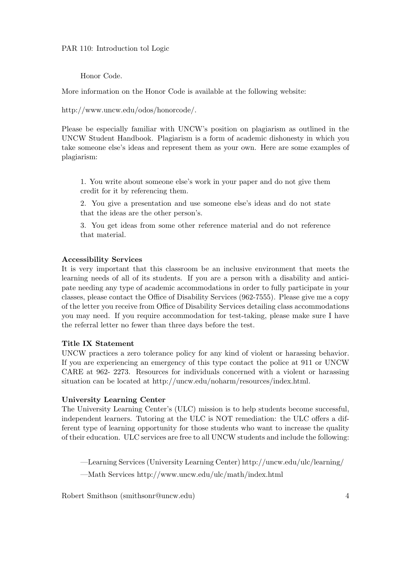## PAR 110: Introduction tol Logic

## Honor Code.

More information on the Honor Code is available at the following website:

http://www.uncw.edu/odos/honorcode/.

Please be especially familiar with UNCW's position on plagiarism as outlined in the UNCW Student Handbook. Plagiarism is a form of academic dishonesty in which you take someone else's ideas and represent them as your own. Here are some examples of plagiarism:

1. You write about someone else's work in your paper and do not give them credit for it by referencing them.

2. You give a presentation and use someone else's ideas and do not state that the ideas are the other person's.

3. You get ideas from some other reference material and do not reference that material.

## Accessibility Services

It is very important that this classroom be an inclusive environment that meets the learning needs of all of its students. If you are a person with a disability and anticipate needing any type of academic accommodations in order to fully participate in your classes, please contact the Office of Disability Services (962-7555). Please give me a copy of the letter you receive from Office of Disability Services detailing class accommodations you may need. If you require accommodation for test-taking, please make sure I have the referral letter no fewer than three days before the test.

## Title IX Statement

UNCW practices a zero tolerance policy for any kind of violent or harassing behavior. If you are experiencing an emergency of this type contact the police at 911 or UNCW CARE at 962- 2273. Resources for individuals concerned with a violent or harassing situation can be located at http://uncw.edu/noharm/resources/index.html.

#### University Learning Center

The University Learning Center's (ULC) mission is to help students become successful, independent learners. Tutoring at the ULC is NOT remediation: the ULC offers a different type of learning opportunity for those students who want to increase the quality of their education. ULC services are free to all UNCW students and include the following:

—Learning Services (University Learning Center) http://uncw.edu/ulc/learning/ —Math Services http://www.uncw.edu/ulc/math/index.html